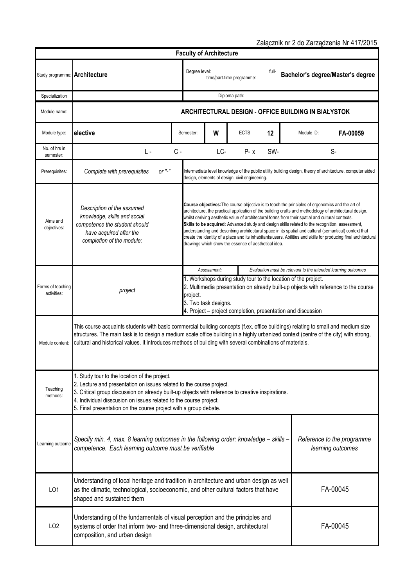Study programme: Specialization Module name: Module type: **W 12 FA-00059** No. of hrs in semester: I is a constant of the constant of the constant of the constant of the constant of the constant of the constant of the constant of the constant of the constant of the constant of the constant of the constant of t Prerequisites: Aims and objectives: *Description of the assumed knowledge, skills and social competence the student should have acquired after the completion of the module:* Module content: Teaching methods: Learning outcom LO1 LO2 **ARCHITECTURAL DESIGN - OFFICE BUILDING IN BIAŁYSTOK Course objectives:**The course objective is to teach the principles of ergonomics and the art of architecture, the practical application of the building crafts and methodology of architectural design, whilst deriving aesthetic value of architectural forms from their spatial and cultural contexts. Skills to be acquired: Advanced study and design skills related to the recognition, assessment, understanding and describing architectural space in its spatial and cultural (semantical) context that create the identity of a place and its inhabitants/users. Abilities and skills for producing final architectural drawings which show the essence of aesthetical idea. Intermediate level knowledge of the public utility building design, theory of architecture, computer aided design, elements of design, civil engineering. Understanding of the fundamentals of visual perception and the principles and systems of order that inform two- and three-dimensional design, architectural composition, and urban design FA-00045 Forms of teaching activities: *project Assessment: Evaluation must be relevant to the intended learning outcomes* 1. Workshops during study tour to the location of the project. 2. Multimedia presentation on already built-up objects with reference to the course project. 3. Two task designs. 4. Project – project completion, presentation and discussion Załącznik nr 2 do Zarządzenia Nr 417/2015 **Faculty of Architecture Architecture Consequent** Degree level: time/part-time programme: full-<br>time/part-time programme: time/part-time programme: **Bachelor's degree/Master's degree**  This course acquaints students with basic commercial building concepts (f.ex. office buildings) relating to small and medium size structures. The main task is to design a medium scale office building in a highly urbanized context (centre of the city) with strong, cultural and historical values. It introduces methods of building with several combinations of materials. 1. Study tour to the location of the project. 2. Lecture and presentation on issues related to the course project. 3. Critical group discussion on already built-up objects with reference to creative inspirations. 4. Individual disscusion on issues related to the course project. 5. Final presentation on the course project with a group debate. Diploma path: *Specify min. 4, max. 8 learning outcomes in the following order: knowledge – skills – competence. Each learning outcome must be verifiable Reference to the programme learning outcomes*  **elective** Module ID: **Semester: I W | ECTS 12 | Module ID:** *Complete with prerequisites or "-"* Understanding of local heritage and tradition in architecture and urban design as well as the climatic, technological, socioeconomic, and other cultural factors that have shaped and sustained them FA-00045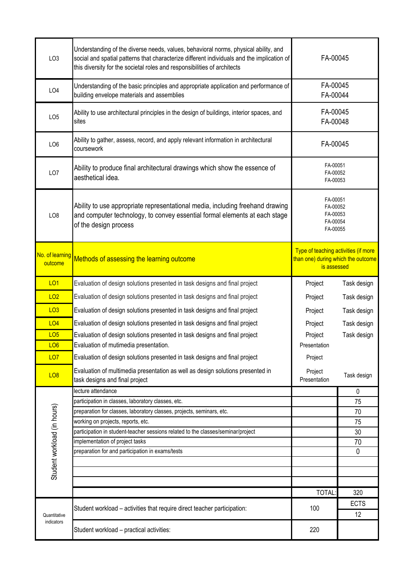| LO <sub>3</sub>             | Understanding of the diverse needs, values, behavioral norms, physical ability, and<br>social and spatial patterns that characterize different individuals and the implication of<br>this diversity for the societal roles and responsibilities of architects | FA-00045                                                                                  |             |
|-----------------------------|---------------------------------------------------------------------------------------------------------------------------------------------------------------------------------------------------------------------------------------------------------------|-------------------------------------------------------------------------------------------|-------------|
| LO <sub>4</sub>             | Understanding of the basic principles and appropriate application and performance of<br>building envelope materials and assemblies                                                                                                                            | FA-00045<br>FA-00044                                                                      |             |
| LO <sub>5</sub>             | Ability to use architectural principles in the design of buildings, interior spaces, and<br>sites                                                                                                                                                             | FA-00045<br>FA-00048                                                                      |             |
| LO <sub>6</sub>             | Ability to gather, assess, record, and apply relevant information in architectural<br>coursework                                                                                                                                                              | FA-00045                                                                                  |             |
| LO <sub>7</sub>             | Ability to produce final architectural drawings which show the essence of<br>aesthetical idea.                                                                                                                                                                | FA-00051<br>FA-00052<br>FA-00053                                                          |             |
| LO <sub>8</sub>             | Ability to use appropriate representational media, including freehand drawing<br>and computer technology, to convey essential formal elements at each stage<br>of the design process                                                                          | FA-00051<br>FA-00052<br>FA-00053<br>FA-00054<br>FA-00055                                  |             |
| No. of learning<br>outcome  | Methods of assessing the learning outcome                                                                                                                                                                                                                     | Type of teaching activities (if more<br>than one) during which the outcome<br>is assessed |             |
| <b>LO1</b>                  | Evaluation of design solutions presented in task designs and final project                                                                                                                                                                                    | Project                                                                                   | Task design |
| LO2                         | Evaluation of design solutions presented in task designs and final project                                                                                                                                                                                    | Project                                                                                   | Task design |
| LO3                         | Evaluation of design solutions presented in task designs and final project                                                                                                                                                                                    | Project                                                                                   | Task design |
| LO4                         | Evaluation of design solutions presented in task designs and final project                                                                                                                                                                                    | Project                                                                                   | Task design |
| LO <sub>5</sub>             | Evaluation of design solutions presented in task designs and final project                                                                                                                                                                                    | Project                                                                                   | Task design |
| LO <sub>6</sub>             | Evaluation of mutimedia presentation.                                                                                                                                                                                                                         | Presentation                                                                              |             |
| <b>LO7</b>                  | Evaluation of design solutions presented in task designs and final project                                                                                                                                                                                    | Project                                                                                   |             |
| <b>LO8</b>                  | Evaluation of multimedia presentation as well as design solutions presented in<br>task designs and final project                                                                                                                                              | Project<br>Presentation                                                                   | Task design |
| Student workload (in hours) | lecture attendance                                                                                                                                                                                                                                            |                                                                                           | 0           |
|                             | participation in classes, laboratory classes, etc.                                                                                                                                                                                                            |                                                                                           | 75          |
|                             | preparation for classes, laboratory classes, projects, seminars, etc.<br>working on projects, reports, etc.                                                                                                                                                   |                                                                                           | 70<br>75    |
|                             | participation in student-teacher sessions related to the classes/seminar/project                                                                                                                                                                              |                                                                                           | 30          |
|                             | implementation of project tasks                                                                                                                                                                                                                               |                                                                                           | 70          |
|                             | preparation for and participation in exams/tests                                                                                                                                                                                                              |                                                                                           | 0           |
|                             |                                                                                                                                                                                                                                                               |                                                                                           |             |
|                             |                                                                                                                                                                                                                                                               |                                                                                           |             |
|                             |                                                                                                                                                                                                                                                               | <b>TOTAL:</b>                                                                             | 320         |
| Quantitative<br>indicators  |                                                                                                                                                                                                                                                               |                                                                                           | <b>ECTS</b> |
|                             | Student workload - activities that require direct teacher participation:                                                                                                                                                                                      | 100                                                                                       | 12          |
|                             | Student workload - practical activities:                                                                                                                                                                                                                      | 220                                                                                       |             |